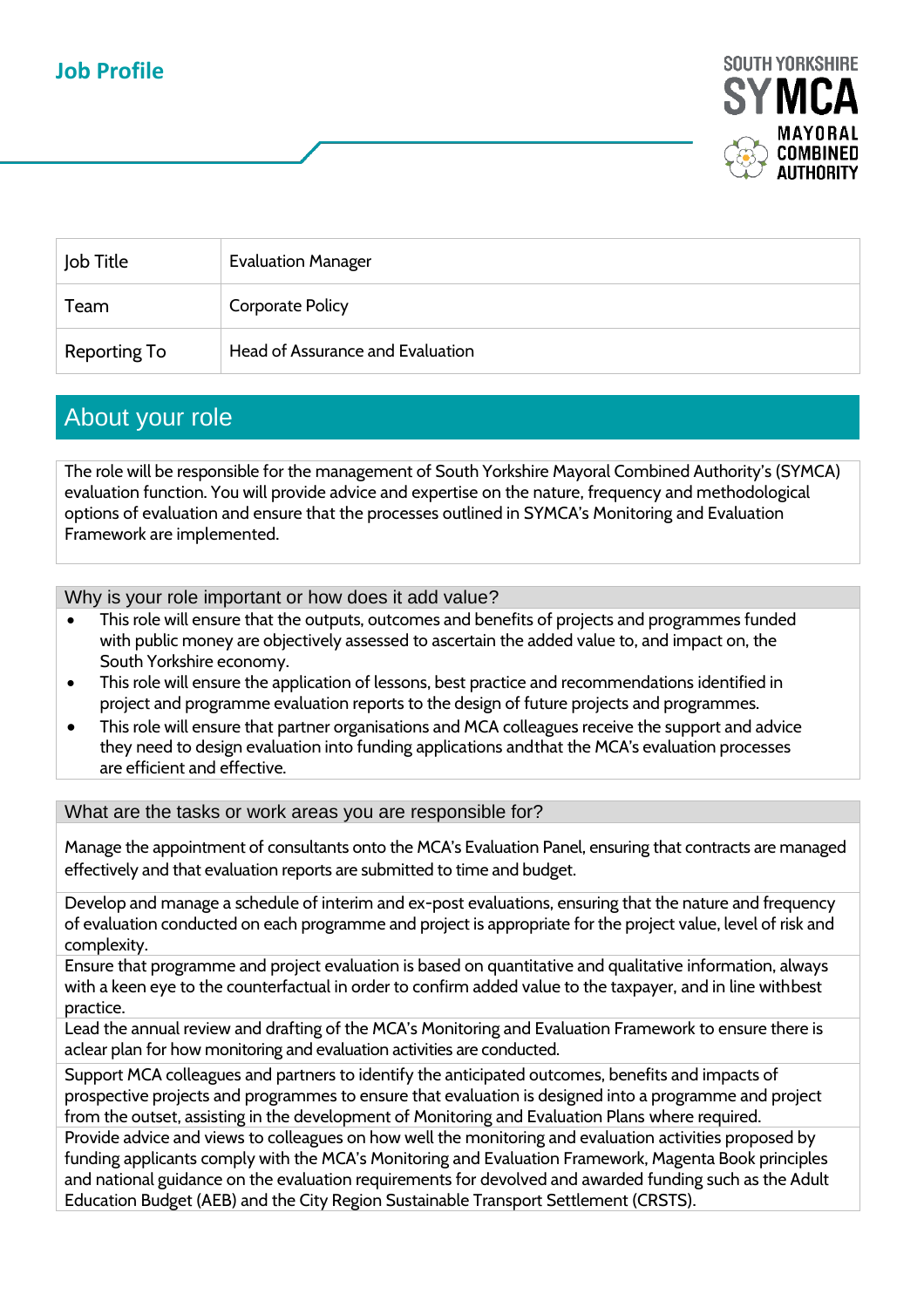## **Job Profile**



| Job Title    | <b>Evaluation Manager</b>        |
|--------------|----------------------------------|
| Team         | <b>Corporate Policy</b>          |
| Reporting To | Head of Assurance and Evaluation |

## About your role

The role will be responsible for the management of South Yorkshire Mayoral Combined Authority's (SYMCA) evaluation function. You will provide advice and expertise on the nature, frequency and methodological options of evaluation and ensure that the processes outlined in SYMCA's Monitoring and Evaluation Framework are implemented.

Why is your role important or how does it add value?

- This role will ensure that the outputs, outcomes and benefits of projects and programmes funded with public money are objectively assessed to ascertain the added value to, and impact on, the South Yorkshire economy.
- This role will ensure the application of lessons, best practice and recommendations identified in project and programme evaluation reports to the design of future projects and programmes.
- This role will ensure that partner organisations and MCA colleagues receive the support and advice they need to design evaluation into funding applications and that the MCA's evaluation processes are efficient and effective.

What are the tasks or work areas you are responsible for?

Manage the appointment of consultants onto the MCA's Evaluation Panel, ensuring that contracts are managed effectively and that evaluation reports are submitted to time and budget.

Develop and manage a schedule of interim and ex-post evaluations, ensuring that the nature and frequency of evaluation conducted on each programme and project is appropriate for the project value, level of risk and complexity.

Ensure that programme and project evaluation is based on quantitative and qualitative information, always with a keen eye to the counterfactual in order to confirm added value to the taxpayer, and in line withbest practice.

Lead the annual review and drafting of the MCA's Monitoring and Evaluation Framework to ensure there is aclear plan for how monitoring and evaluation activities are conducted.

Support MCA colleagues and partners to identify the anticipated outcomes, benefits and impacts of prospective projects and programmes to ensure that evaluation is designed into a programme and project from the outset, assisting in the development of Monitoring and Evaluation Plans where required.

Provide advice and views to colleagues on how well the monitoring and evaluation activities proposed by funding applicants comply with the MCA's Monitoring and Evaluation Framework, Magenta Book principles and national guidance on the evaluation requirements for devolved and awarded funding such as the Adult Education Budget (AEB) and the City Region Sustainable Transport Settlement (CRSTS).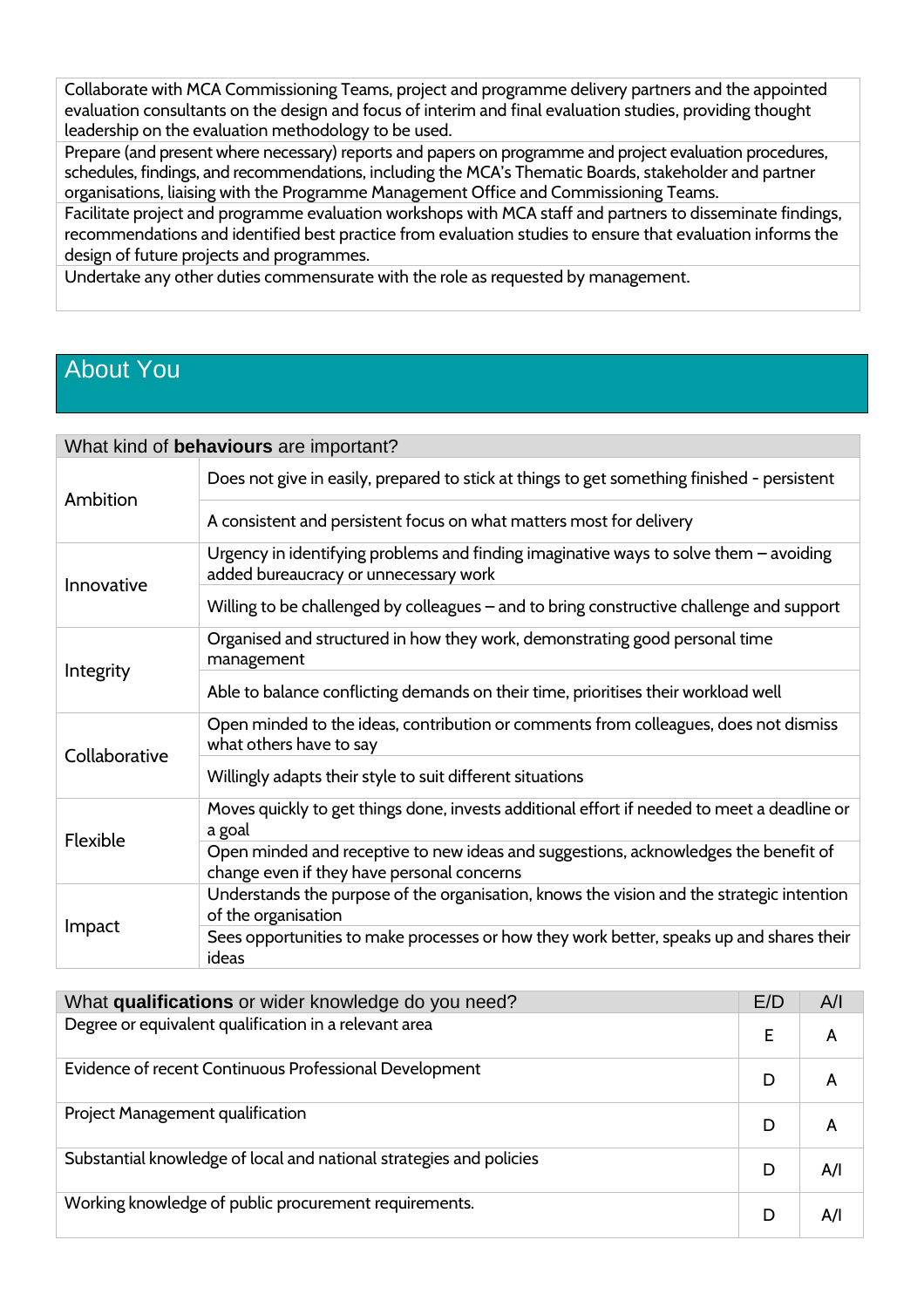Collaborate with MCA Commissioning Teams, project and programme delivery partners and the appointed evaluation consultants on the design and focus of interim and final evaluation studies, providing thought leadership on the evaluation methodology to be used.

Prepare (and present where necessary) reports and papers on programme and project evaluation procedures, schedules, findings, and recommendations, including the MCA's Thematic Boards, stakeholder and partner organisations, liaising with the Programme Management Office and Commissioning Teams.

Facilitate project and programme evaluation workshops with MCA staff and partners to disseminate findings, recommendations and identified best practice from evaluation studies to ensure that evaluation informs the design of future projects and programmes.

Undertake any other duties commensurate with the role as requested by management.

## About You

| What kind of behaviours are important? |                                                                                                                                   |  |  |  |
|----------------------------------------|-----------------------------------------------------------------------------------------------------------------------------------|--|--|--|
| Ambition                               | Does not give in easily, prepared to stick at things to get something finished - persistent                                       |  |  |  |
|                                        | A consistent and persistent focus on what matters most for delivery                                                               |  |  |  |
| Innovative                             | Urgency in identifying problems and finding imaginative ways to solve them $-$ avoiding<br>added bureaucracy or unnecessary work  |  |  |  |
|                                        | Willing to be challenged by colleagues - and to bring constructive challenge and support                                          |  |  |  |
| Integrity                              | Organised and structured in how they work, demonstrating good personal time<br>management                                         |  |  |  |
|                                        | Able to balance conflicting demands on their time, prioritises their workload well                                                |  |  |  |
| Collaborative                          | Open minded to the ideas, contribution or comments from colleagues, does not dismiss<br>what others have to say                   |  |  |  |
|                                        | Willingly adapts their style to suit different situations                                                                         |  |  |  |
| Flexible                               | Moves quickly to get things done, invests additional effort if needed to meet a deadline or<br>a goal                             |  |  |  |
|                                        | Open minded and receptive to new ideas and suggestions, acknowledges the benefit of<br>change even if they have personal concerns |  |  |  |
| Impact                                 | Understands the purpose of the organisation, knows the vision and the strategic intention<br>of the organisation                  |  |  |  |
|                                        | Sees opportunities to make processes or how they work better, speaks up and shares their<br>ideas                                 |  |  |  |

| What qualifications or wider knowledge do you need?                 |   | A/I |
|---------------------------------------------------------------------|---|-----|
| Degree or equivalent qualification in a relevant area               |   | A   |
| Evidence of recent Continuous Professional Development              | D |     |
| Project Management qualification                                    | D |     |
| Substantial knowledge of local and national strategies and policies | D | A/I |
| Working knowledge of public procurement requirements.               | D | Α/I |